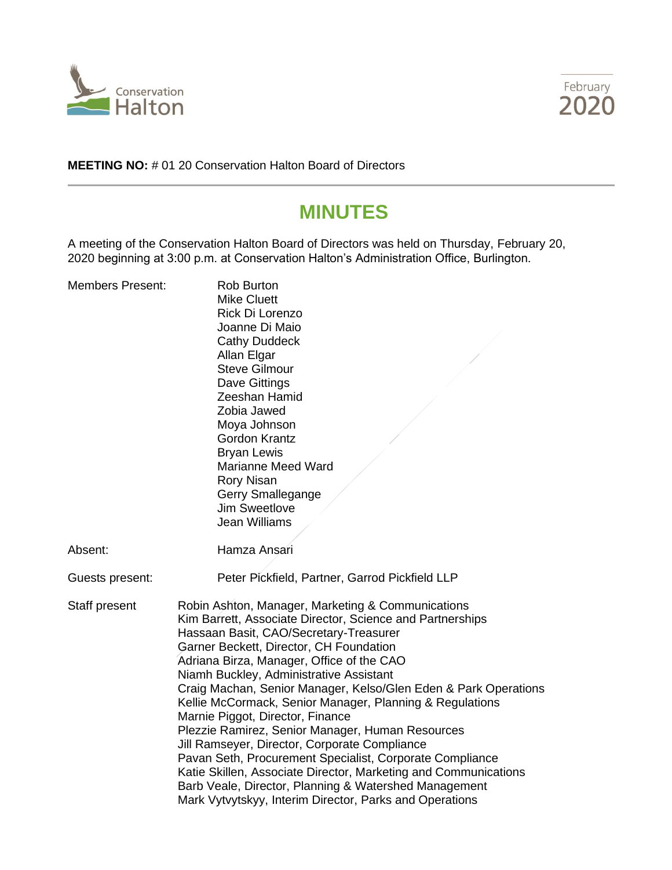



**MEETING NO:** # 01 20 Conservation Halton Board of Directors

# **MINUTES**

A meeting of the Conservation Halton Board of Directors was held on Thursday, February 20, 2020 beginning at 3:00 p.m. at Conservation Halton's Administration Office, Burlington.

| <b>Members Present:</b> | <b>Rob Burton</b><br><b>Mike Cluett</b><br>Rick Di Lorenzo<br>Joanne Di Maio<br><b>Cathy Duddeck</b><br>Allan Elgar<br><b>Steve Gilmour</b><br>Dave Gittings<br>Zeeshan Hamid<br>Zobia Jawed<br>Moya Johnson<br><b>Gordon Krantz</b><br><b>Bryan Lewis</b><br><b>Marianne Meed Ward</b><br><b>Rory Nisan</b><br>Gerry Smallegange<br>Jim Sweetlove<br>Jean Williams                                                                                                                                                                                                                                                                                                                                                                                                                                                    |  |
|-------------------------|------------------------------------------------------------------------------------------------------------------------------------------------------------------------------------------------------------------------------------------------------------------------------------------------------------------------------------------------------------------------------------------------------------------------------------------------------------------------------------------------------------------------------------------------------------------------------------------------------------------------------------------------------------------------------------------------------------------------------------------------------------------------------------------------------------------------|--|
| Absent:                 | Hamza Ansari                                                                                                                                                                                                                                                                                                                                                                                                                                                                                                                                                                                                                                                                                                                                                                                                           |  |
| Guests present:         | Peter Pickfield, Partner, Garrod Pickfield LLP                                                                                                                                                                                                                                                                                                                                                                                                                                                                                                                                                                                                                                                                                                                                                                         |  |
| Staff present           | Robin Ashton, Manager, Marketing & Communications<br>Kim Barrett, Associate Director, Science and Partnerships<br>Hassaan Basit, CAO/Secretary-Treasurer<br>Garner Beckett, Director, CH Foundation<br>Adriana Birza, Manager, Office of the CAO<br>Niamh Buckley, Administrative Assistant<br>Craig Machan, Senior Manager, Kelso/Glen Eden & Park Operations<br>Kellie McCormack, Senior Manager, Planning & Regulations<br>Marnie Piggot, Director, Finance<br>Plezzie Ramirez, Senior Manager, Human Resources<br>Jill Ramseyer, Director, Corporate Compliance<br>Pavan Seth, Procurement Specialist, Corporate Compliance<br>Katie Skillen, Associate Director, Marketing and Communications<br>Barb Veale, Director, Planning & Watershed Management<br>Mark Vytvytskyy, Interim Director, Parks and Operations |  |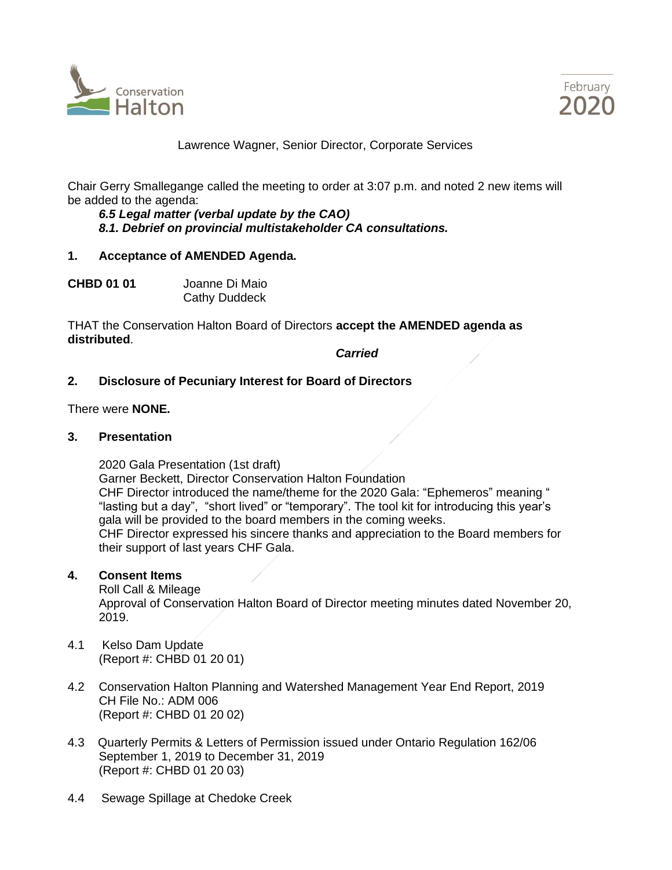



Lawrence Wagner, Senior Director, Corporate Services

Chair Gerry Smallegange called the meeting to order at 3:07 p.m. and noted 2 new items will be added to the agenda:

*6.5 Legal matter (verbal update by the CAO) 8.1. Debrief on provincial multistakeholder CA consultations.*

#### **1. Acceptance of AMENDED Agenda.**

**CHBD 01 01** Joanne Di Maio Cathy Duddeck

THAT the Conservation Halton Board of Directors **accept the AMENDED agenda as distributed**.

*Carried*

## **2. Disclosure of Pecuniary Interest for Board of Directors**

There were **NONE.**

#### **3. Presentation**

2020 Gala Presentation (1st draft) Garner Beckett, Director Conservation Halton Foundation CHF Director introduced the name/theme for the 2020 Gala: "Ephemeros" meaning " "lasting but a day", "short lived" or "temporary". The tool kit for introducing this year's gala will be provided to the board members in the coming weeks. CHF Director expressed his sincere thanks and appreciation to the Board members for their support of last years CHF Gala.

#### **4. Consent Items**

Roll Call & Mileage Approval of Conservation Halton Board of Director meeting minutes dated November 20, 2019.

- 4.1 Kelso Dam Update (Report #: CHBD 01 20 01)
- 4.2 Conservation Halton Planning and Watershed Management Year End Report, 2019 CH File No.: ADM 006 (Report #: CHBD 01 20 02)
- 4.3 Quarterly Permits & Letters of Permission issued under Ontario Regulation 162/06 September 1, 2019 to December 31, 2019 (Report #: CHBD 01 20 03)
- 4.4 Sewage Spillage at Chedoke Creek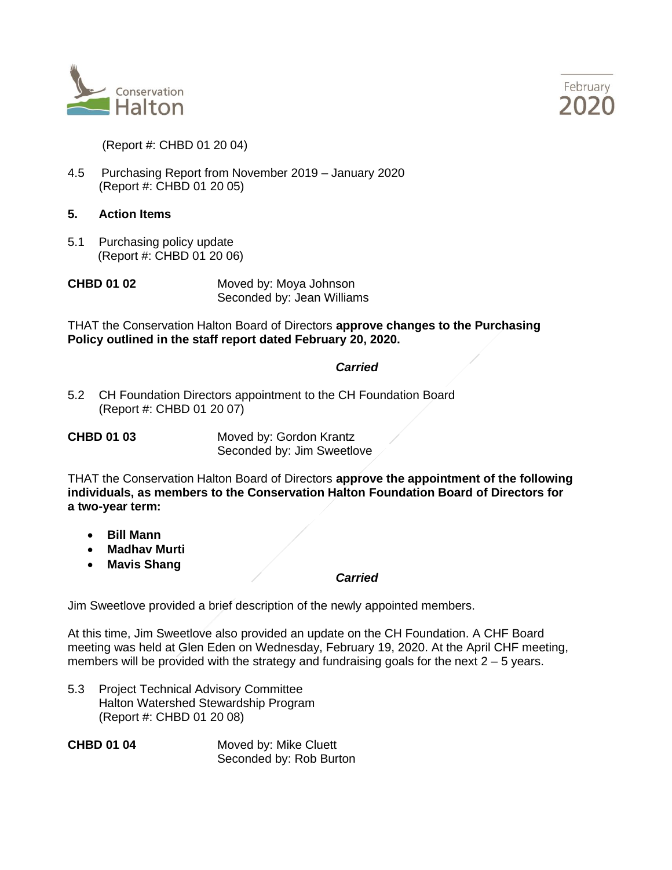



(Report #: CHBD 01 20 04)

- 4.5 Purchasing Report from November 2019 January 2020 (Report #: CHBD 01 20 05)
- **5. Action Items**
- 5.1 Purchasing policy update (Report #: CHBD 01 20 06)

**CHBD 01 02** Moved by: Moya Johnson Seconded by: Jean Williams

THAT the Conservation Halton Board of Directors **approve changes to the Purchasing Policy outlined in the staff report dated February 20, 2020.** 

## *Carried*

5.2 CH Foundation Directors appointment to the CH Foundation Board (Report #: CHBD 01 20 07)

| <b>CHBD 01 03</b> | Moved by: Gordon Krantz    |
|-------------------|----------------------------|
|                   | Seconded by: Jim Sweetlove |

THAT the Conservation Halton Board of Directors **approve the appointment of the following individuals, as members to the Conservation Halton Foundation Board of Directors for a two-year term:**

- **Bill Mann**
- **Madhav Murti**
- **Mavis Shang**

#### *Carried*

Jim Sweetlove provided a brief description of the newly appointed members.

At this time, Jim Sweetlove also provided an update on the CH Foundation. A CHF Board meeting was held at Glen Eden on Wednesday, February 19, 2020. At the April CHF meeting, members will be provided with the strategy and fundraising goals for the next  $2 - 5$  years.

5.3 Project Technical Advisory Committee Halton Watershed Stewardship Program (Report #: CHBD 01 20 08)

**CHBD 01 04** Moved by: Mike Cluett Seconded by: Rob Burton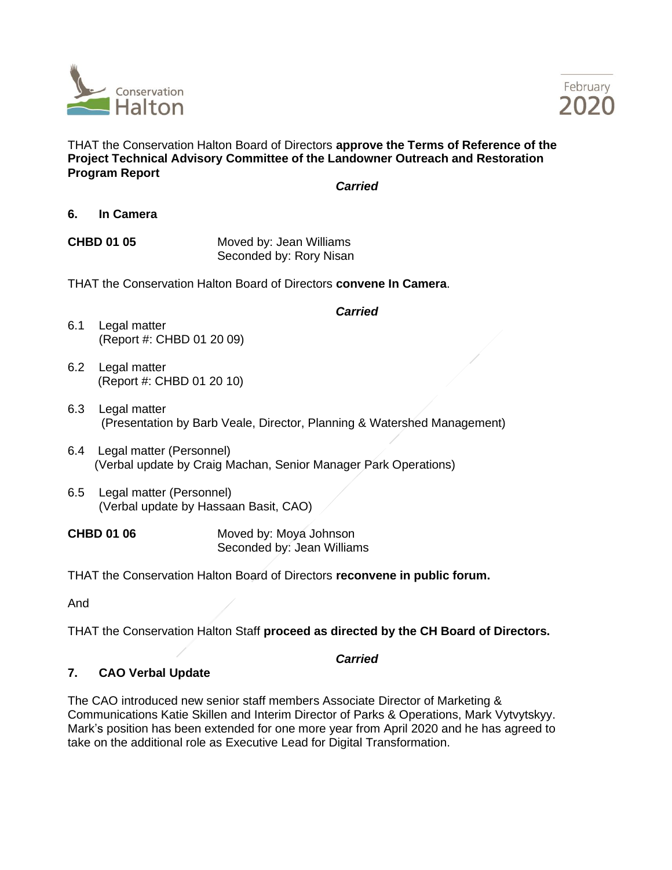



THAT the Conservation Halton Board of Directors **approve the Terms of Reference of the Project Technical Advisory Committee of the Landowner Outreach and Restoration Program Report** 

*Carried*

**6. In Camera**

**CHBD 01 05** Moved by: Jean Williams Seconded by: Rory Nisan

THAT the Conservation Halton Board of Directors **convene In Camera**.

#### *Carried*

- 6.1 Legal matter (Report #: CHBD 01 20 09)
- 6.2 Legal matter (Report #: CHBD 01 20 10)
- 6.3 Legal matter (Presentation by Barb Veale, Director, Planning & Watershed Management)
- 6.4 Legal matter (Personnel) (Verbal update by Craig Machan, Senior Manager Park Operations)
- 6.5 Legal matter (Personnel) (Verbal update by Hassaan Basit, CAO)

**CHBD 01 06** Moved by: Moya Johnson Seconded by: Jean Williams

THAT the Conservation Halton Board of Directors **reconvene in public forum.**

And

THAT the Conservation Halton Staff **proceed as directed by the CH Board of Directors.**

## *Carried*

## **7. CAO Verbal Update**

The CAO introduced new senior staff members Associate Director of Marketing & Communications Katie Skillen and Interim Director of Parks & Operations, Mark Vytvytskyy. Mark's position has been extended for one more year from April 2020 and he has agreed to take on the additional role as Executive Lead for Digital Transformation.